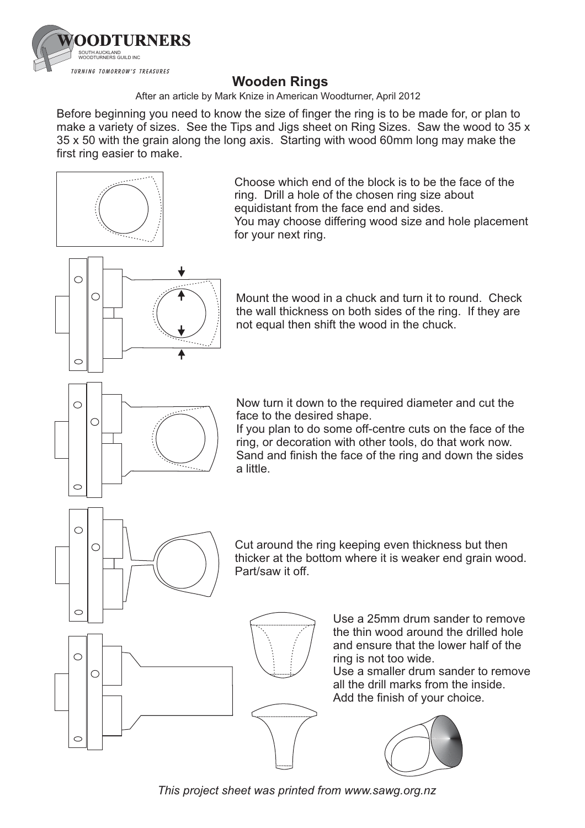

## **Wooden Rings**

After an article by Mark Knize in American Woodturner, April 2012

Before beginning you need to know the size of finger the ring is to be made for, or plan to make a variety of sizes. See the Tips and Jigs sheet on Ring Sizes. Saw the wood to 35 x 35 x 50 with the grain along the long axis. Starting with wood 60mm long may make the first ring easier to make.



 $\circ$ 

 $\circ$ 

 $\circ$ 

 $\circ$ 

 $\circ$ 

 $\overline{\bigcirc}$ 

 $\bigcirc$ 

 $\overline{C}$ 

 $\bigcirc$ 

Choose which end of the block is to be the face of the ring. Drill a hole of the chosen ring size about equidistant from the face end and sides. You may choose differing wood size and hole placement for your next ring.



Mount the wood in a chuck and turn it to round. Check the wall thickness on both sides of the ring. If they are not equal then shift the wood in the chuck.

Now turn it down to the required diameter and cut the face to the desired shape.

If you plan to do some off-centre cuts on the face of the ring, or decoration with other tools, do that work now. Sand and finish the face of the ring and down the sides a little.

Cut around the ring keeping even thickness but then thicker at the bottom where it is weaker end grain wood. Part/saw it off.



Use a 25mm drum sander to remove the thin wood around the drilled hole and ensure that the lower half of the ring is not too wide.

Use a smaller drum sander to remove all the drill marks from the inside. Add the finish of your choice.



*This project sheet was printed from www.sawg.org.nz*